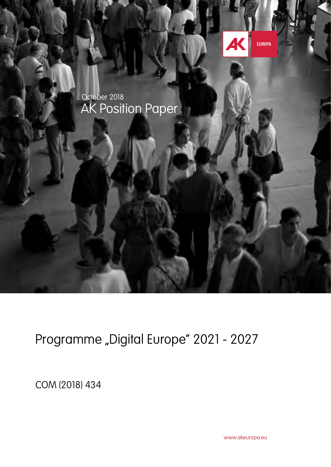

Programme "Digital Europe" 2021 - 2027

COM (2018) 434

<www.akeuropa.eu>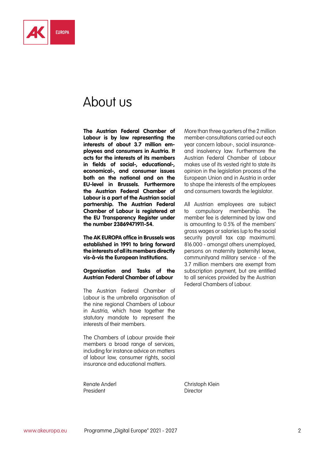

## About us

**The Austrian Federal Chamber of Labour is by law representing the interests of about 3.7 million employees and consumers in Austria. It acts for the interests of its members in fields of social-, educational-, economical-, and consumer issues both on the national and on the EU-level in Brussels. Furthermore the Austrian Federal Chamber of Labour is a part of the Austrian social partnership. The Austrian Federal Chamber of Labour is registered at the EU Transparency Register under the number 23869471911-54.**

**The AK EUROPA office in Brussels was established in 1991 to bring forward the interests of all its members directly vis-à-vis the European Institutions.**

### **Organisation and Tasks of the Austrian Federal Chamber of Labour**

The Austrian Federal Chamber of Labour is the umbrella organisation of the nine regional Chambers of Labour in Austria, which have together the statutory mandate to represent the interests of their members.

The Chambers of Labour provide their members a broad range of services including for instance advice on matters of labour law, consumer rights, social insurance and educational matters.

Renate Anderl President

Christoph Klein Director

More than three quarters of the 2 million member-consultations carried out each year concern labour-, social insuranceand insolvency law. Furthermore the Austrian Federal Chamber of Labour makes use of its vested right to state its opinion in the legislation process of the European Union and in Austria in order to shape the interests of the employees and consumers towards the legislator.

All Austrian employees are subject to compulsory membership. The member fee is determined by law and is amounting to 0.5% of the members' gross wages or salaries (up to the social security payroll tax cap maximum). 816.000 - amongst others unemployed, persons on maternity (paternity) leave, communityand military service - of the 3.7 million members are exempt from subscription payment, but are entitled to all services provided by the Austrian Federal Chambers of Labour.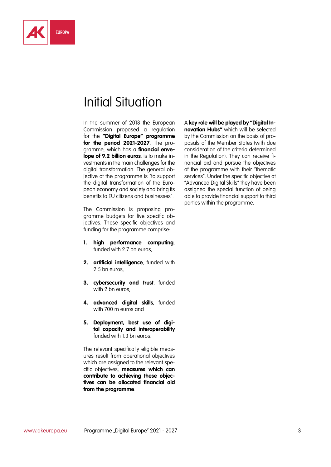

# Initial Situation

In the summer of 2018 the European Commission proposed a regulation for the **"Digital Europe" programme for the period 2021-2027**. The programme, which has a **financial envelope of 9.2 billion euros**, is to make investments in the main challenges for the digital transformation. The general objective of the programme is "to support the digital transformation of the European economy and society and bring its benefits to EU citizens and businesses".

The Commission is proposing programme budgets for five specific objectives. These specific objectives and funding for the programme comprise:

- **1. high performance computing**, funded with 2.7 bn euros.
- **2. artificial intelligence**, funded with 2.5 bn euros,
- **3. cybersecurity and trust**, funded with 2 bn euros
- **4. advanced digital skills**, funded with 700 m euros and
- **5. Deployment, best use of digital capacity and interoperability** funded with 1.3 bn euros.

The relevant specifically eligible measures result from operational objectives which are assigned to the relevant specific objectives; **measures which can contribute to achieving these objectives can be allocated financial aid from the programme**.

A **key role will be played by "Digital Innovation Hubs"** which will be selected by the Commission on the basis of proposals of the Member States (with due consideration of the criteria determined in the Regulation). They can receive financial aid and pursue the objectives of the programme with their "thematic services". Under the specific objective of "Advanced Digital Skills" they have been assigned the special function of being able to provide financial support to third parties within the programme.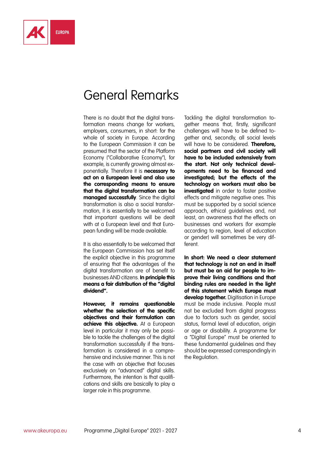

## General Remarks

There is no doubt that the digital transformation means change for workers, employers, consumers, in short: for the whole of society in Europe. According to the European Commission it can be presumed that the sector of the Platform Economy ("Collaborative Economy"), for example, is currently growing almost exponentially. Therefore it is **necessary to act on a European level and also use the corresponding means to ensure that the digital transformation can be managed successfully**. Since the digital transformation is also a social transformation, it is essentially to be welcomed that important questions will be dealt with at a European level and that European funding will be made available.

It is also essentially to be welcomed that the European Commission has set itself the explicit objective in this programme of ensuring that the advantages of the digital transformation are of benefit to businesses AND citizens. **In principle this means a fair distribution of the "digital dividend".** 

**However, it remains questionable whether the selection of the specific objectives and their formulation can achieve this objective.** At a European level in particular it may only be possible to tackle the challenges of the digital transformation successfully if the transformation is considered in a comprehensive and inclusive manner. This is not the case with an objective that focuses exclusively on "advanced" digital skills. Furthermore, the intention is that qualifications and skills are basically to play a larger role in this programme.

Tackling the digital transformation together means that, firstly, significant challenges will have to be defined together and, secondly, all social levels will have to be considered. **Therefore, social partners and civil society will have to be included extensively from the start. Not only technical developments need to be financed and investigated; but the effects of the technology on workers must also be investigated** in order to foster positive effects and mitigate negative ones. This must be supported by a social science approach, ethical guidelines and, not least, an awareness that the effects on businesses and workers (for example according to region, level of education or gender) will sometimes be very different.

**In short: We need a clear statement that technology is not an end in itself but must be an aid for people to improve their living conditions and that binding rules are needed in the light of this statement which Europe must develop together.** Digitisation in Europe must be made inclusive. People must not be excluded from digital progress due to factors such as gender, social status, formal level of education, origin or age or disability. A programme for a "Digital Europe" must be oriented to these fundamental guidelines and they should be expressed correspondingly in the Regulation.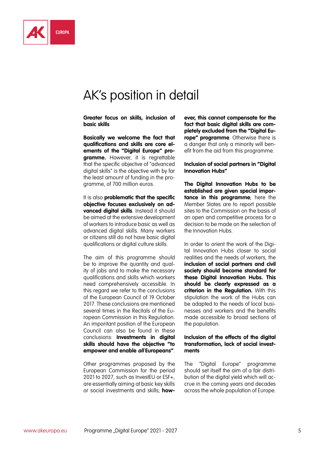

## AK's position in detail

**Greater focus on skills, inclusion of basic skills**

**Basically we welcome the fact that qualifications and skills are core elements of the "Digital Europe" programme.** However, it is regrettable that the specific objective of "advanced digital skills" is the objective with by far the least amount of funding in the programme, of 700 million euros.

It is also **problematic that the specific objective focuses exclusively on advanced digital skills**. Instead it should be aimed at the extensive development of workers to introduce basic as well as advanced digital skills. Many workers or citizens still do not have basic digital qualifications or digital culture skills.

The aim of this programme should be to improve the quantity and quality of jobs and to make the necessary qualifications and skills which workers need comprehensively accessible. In this regard we refer to the conclusions of the European Council of 19 October 2017. These conclusions are mentioned several times in the Recitals of the European Commission in this Regulation. An imporitant position of the European Council can also be found in these conclusions: **Investments in digital skills should have the objective "to empower and enable all Europeans"**.

Other programmes proposed by the European Commission for the period 2021 to 2027, such as InvestEU or ESF+, are essentially aiming at basic key skills or social investments and skills; **how-** **ever, this cannot compensate for the fact that basic digital skills are completely excluded from the "Digital Europe" programme**. Otherwise there is a danger that only a minority will benefit from the aid from this programme.

**Inclusion of social partners in "Digital Innovation Hubs"**

**The Digital Innovation Hubs to be established are given special importance in this programme**; here the Member States are to report possible sites to the Commission on the basis of an open and competitive process for a decision to be made on the selection of the Innovation Hubs.

In order to orient the work of the Digital Innovation Hubs closer to social realities and the needs of workers, the **inclusion of social partners and civil society should become standard for these Digital Innovation Hubs. This should be clearly expressed as a criterion in the Regulation.** With this stipulation the work of the Hubs can be adapted to the needs of local businesses and workers and the benefits made accessible to broad sections of the population.

#### **Inclusion of the effects of the digital transformation, lack of social investments**

The "Digital Europe" programme should set itself the aim of a fair distribution of the digital yield which will accrue in the coming years and decades across the whole population of Europe.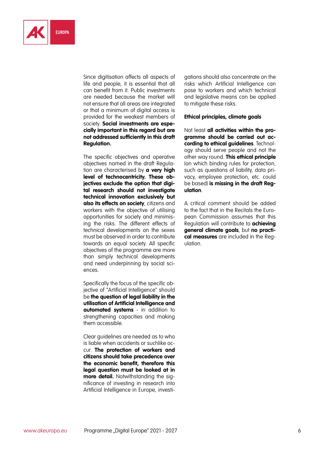

Since digitisation affects all aspects of life and people, it is essential that all can benefit from it. Public investments are needed because the market will not ensure that all areas are integrated or that a minimum of digital access is provided for the weakest members of society. **Social investments are especially important in this regard but are not addressed sufficiently in this draft Regulation.**

The specific objectives and operative objectives named in the draft Regulation are characterised by **a very high level of technocentricity. These objectives exclude the option that digital research should not investigate technical innovation exclusively but also its effects on society**, citizens and workers with the objective of utilising opportunities for society and minimising the risks. The different effects of technical developments on the sexes must be observed in order to contribute towards an equal society. All specific objectives of the programme are more than simply technical developments and need underpinning by social sciences.

Specifically the focus of the specific objective of "Artificial Intelligence" should be **the question of legal liability in the utilisation of Artificial Intelligence and automated systems** - in addition to strengthening capacities and making them accessible.

Clear guidelines are needed as to who is liable when accidents or suchlike occur. **The protection of workers and citizens should take precedence over the economic benefit, therefore this legal question must be looked at in more detail.** Notwithstanding the significance of investing in research into Artificial Intelligence in Europe, investigations should also concentrate on the risks which Artificial Intelligence can pose to workers and which technical and legislative means can be applied to mitigate these risks.

#### **Ethical principles, climate goals**

Not least **all activities within the programme should be carried out according to ethical guidelines**. Technology should serve people and not the other way round. **This ethical principle**  (on which binding rules for protection, such as questions of liability, data privacy, employee protection, etc. could be based) **is missing in the draft Regulation**.

A critical comment should be added to the fact that in the Recitals the European Commission assumes that this Regulation will contribute to **achieving general climate goals**, but **no practical measures** are included in the Regulation.